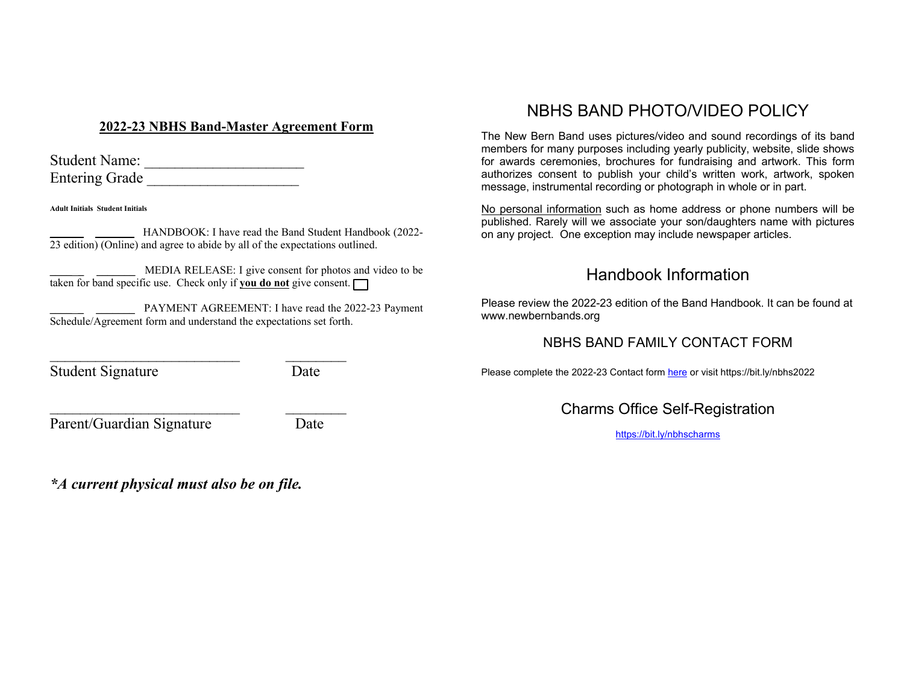## **2022-23 NBHS Band-Master Agreement Form**

| <b>Student Name:</b>  |  |
|-----------------------|--|
| <b>Entering Grade</b> |  |

**Adult Initials Student Initials**

**\_\_\_\_ \_ \_\_\_\_\_\_\_** HANDBOOK: I have read the Band Student Handbook (2022-  $\overline{23}$  edition) (Online) and agree to abide by all of the expectations outlined.

**\_\_\_\_ \_ \_\_\_\_\_\_\_** MEDIA RELEASE: I give consent for photos and video to be taken for band specific use. Check only if **you do not** give consent.

**\_\_\_\_ \_ \_\_\_\_\_\_\_** PAYMENT AGREEMENT: I have read the 2022-23 Payment Schedule/Agreement form and understand the expectations set forth.

\_\_\_\_\_\_\_\_\_\_\_\_\_\_\_\_\_\_\_\_\_\_\_\_\_ \_\_\_\_\_\_\_\_

 $\mathcal{L}_\text{max}$ 

Student Signature Date

Parent/Guardian Signature Date

*\*A current physical must also be on file.*

# NBHS BAND PHOTO/VIDEO POLICY

The New Bern Band uses pictures/video and sound recordings of its band members for many purposes including yearly publicity, website, slide shows for awards ceremonies, brochures for fundraising and artwork. This form authorizes consent to publish your child's written work, artwork, spoken message, instrumental recording or photograph in whole or in part.

No personal information such as home address or phone numbers will be published. Rarely will we associate your son/daughters name with pictures on any project. One exception may include newspaper articles.

# Handbook Information

Please review the 2022-23 edition of the Band Handbook. It can be found at www.newbernbands.org

## NBHS BAND FAMILY CONTACT FORM

Please complete the 2022-23 Contact form here or visit https://bit.ly/nbhs2022

Charms Office Self-Registration

https://bit.ly/nbhscharms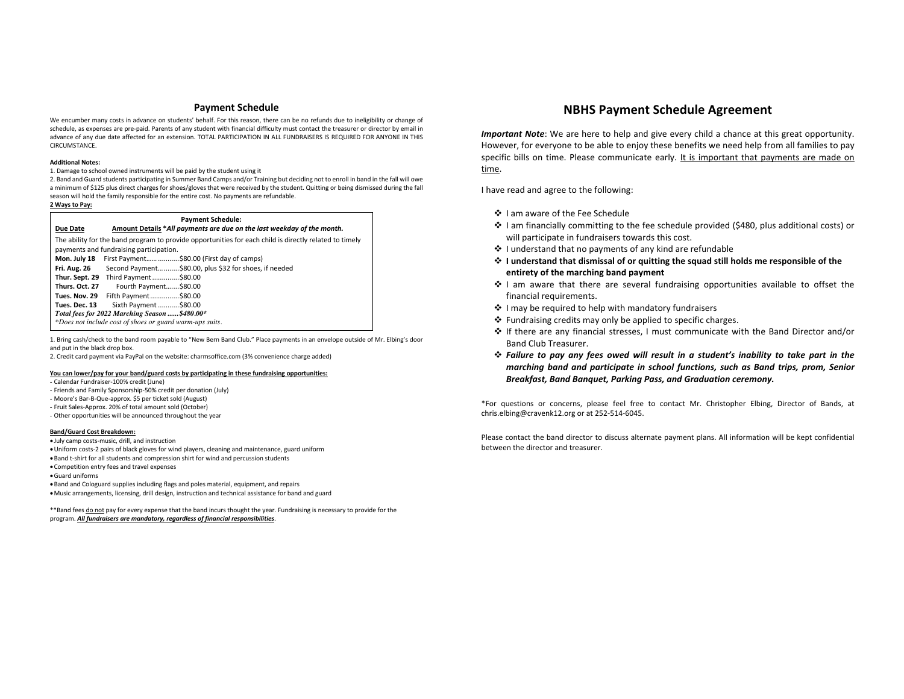#### **Payment Schedule**

We encumber many costs in advance on students' behalf. For this reason, there can be no refunds due to ineligibility or change of schedule, as expenses are pre-paid. Parents of any student with financial difficulty must contact the treasurer or director by email in advance of any due date affected for an extension. TOTAL PARTICIPATION IN ALL FUNDRAISERS IS REQUIRED FOR ANYONE IN THIS CIRCUMSTANCE.

#### **Additional Notes:**

1. Damage to school owned instruments will be paid by the student using it

2. Band and Guard students participating in Summer Band Camps and/or Training but deciding not to enroll in band in the fall will owe a minimum of \$125 plus direct charges for shoes/gloves that were received by the student. Quitting or being dismissed during the fall season will hold the family responsible for the entire cost. No payments are refundable.

#### **2 Ways to Pay:**

| <b>Payment Schedule:</b>                                                                               |                                                                        |  |  |
|--------------------------------------------------------------------------------------------------------|------------------------------------------------------------------------|--|--|
| <b>Due Date</b>                                                                                        | Amount Details *All payments are due on the last weekday of the month. |  |  |
| The ability for the band program to provide opportunities for each child is directly related to timely |                                                                        |  |  |
| payments and fundraising participation.                                                                |                                                                        |  |  |
| Mon. July 18                                                                                           | First Payment  \$80.00 (First day of camps)                            |  |  |
| Fri. Aug. 26                                                                                           | Second Payment \$80.00, plus \$32 for shoes, if needed                 |  |  |
| Thur. Sept. 29                                                                                         | Third Payment \$80.00                                                  |  |  |
| Thurs. Oct. 27                                                                                         | Fourth Payment\$80.00                                                  |  |  |
| Tues. Nov. 29                                                                                          | Fifth Payment\$80.00                                                   |  |  |
| Tues. Dec. 13                                                                                          | Sixth Payment  \$80.00                                                 |  |  |
| Total fees for 2022 Marching Season  \$480.00*                                                         |                                                                        |  |  |
| *Does not include cost of shoes or guard warm-ups suits.                                               |                                                                        |  |  |

1. Bring cash/check to the band room payable to "New Bern Band Club." Place payments in an envelope outside of Mr. Elbing's door and put in the black drop box.

2. Credit card payment via PayPal on the website: charmsoffice.com (3% convenience charge added)

#### **You can lower/pay for your band/guard costs by participating in these fundraising opportunities:**

- Calendar Fundraiser-100% credit (June)
- Friends and Family Sponsorship-50% credit per donation (July)
- Moore's Bar-B-Que-approx. \$5 per ticket sold (August)
- Fruit Sales-Approx. 20% of total amount sold (October)
- Other opportunities will be announced throughout the year

#### **Band/Guard Cost Breakdown:**

- July camp costs-music, drill, and instruction
- •Uniform costs-2 pairs of black gloves for wind players, cleaning and maintenance, guard uniform
- •Band t-shirt for all students and compression shirt for wind and percussion students
- Competition entry fees and travel expenses
- •Guard uniforms

•Band and Cologuard supplies including flags and poles material, equipment, and repairs •Music arrangements, licensing, drill design, instruction and technical assistance for band and guard

\*\* Band fees do not pay for every expense that the band incurs thought the year. Fundraising is necessary to provide for the program. *All fundraisers are mandatory, regardless of financial responsibilities*.

### **NBHS Payment Schedule Agreement**

*Important Note*: We are here to help and give every child a chance at this great opportunity. However, for everyone to be able to enjoy these benefits we need help from all families to pay specific bills on time. Please communicate early. It is important that payments are made on time.

I have read and agree to the following:

- v I am aware of the Fee Schedule
- $\cdot \cdot$  I am financially committing to the fee schedule provided (\$480, plus additional costs) or will participate in fundraisers towards this cost.
- $\cdot$  I understand that no payments of any kind are refundable
- v **I understand that dismissal of or quitting the squad still holds me responsible of the entirety of the marching band payment**
- $\div$  I am aware that there are several fundraising opportunities available to offset the financial requirements.
- $\cdot$  I may be required to help with mandatory fundraisers
- $\cdot$  Fundraising credits may only be applied to specific charges.
- v If there are any financial stresses, I must communicate with the Band Director and/or Band Club Treasurer.
- v *Failure to pay any fees owed will result in a student's inability to take part in the marching band and participate in school functions, such as Band trips, prom, Senior Breakfast, Band Banquet, Parking Pass, and Graduation ceremony.*

\*For questions or concerns, please feel free to contact Mr. Christopher Elbing, Director of Bands, at chris.elbing@cravenk12.org or at 252-514-6045.

Please contact the band director to discuss alternate payment plans. All information will be kept confidential between the director and treasurer.